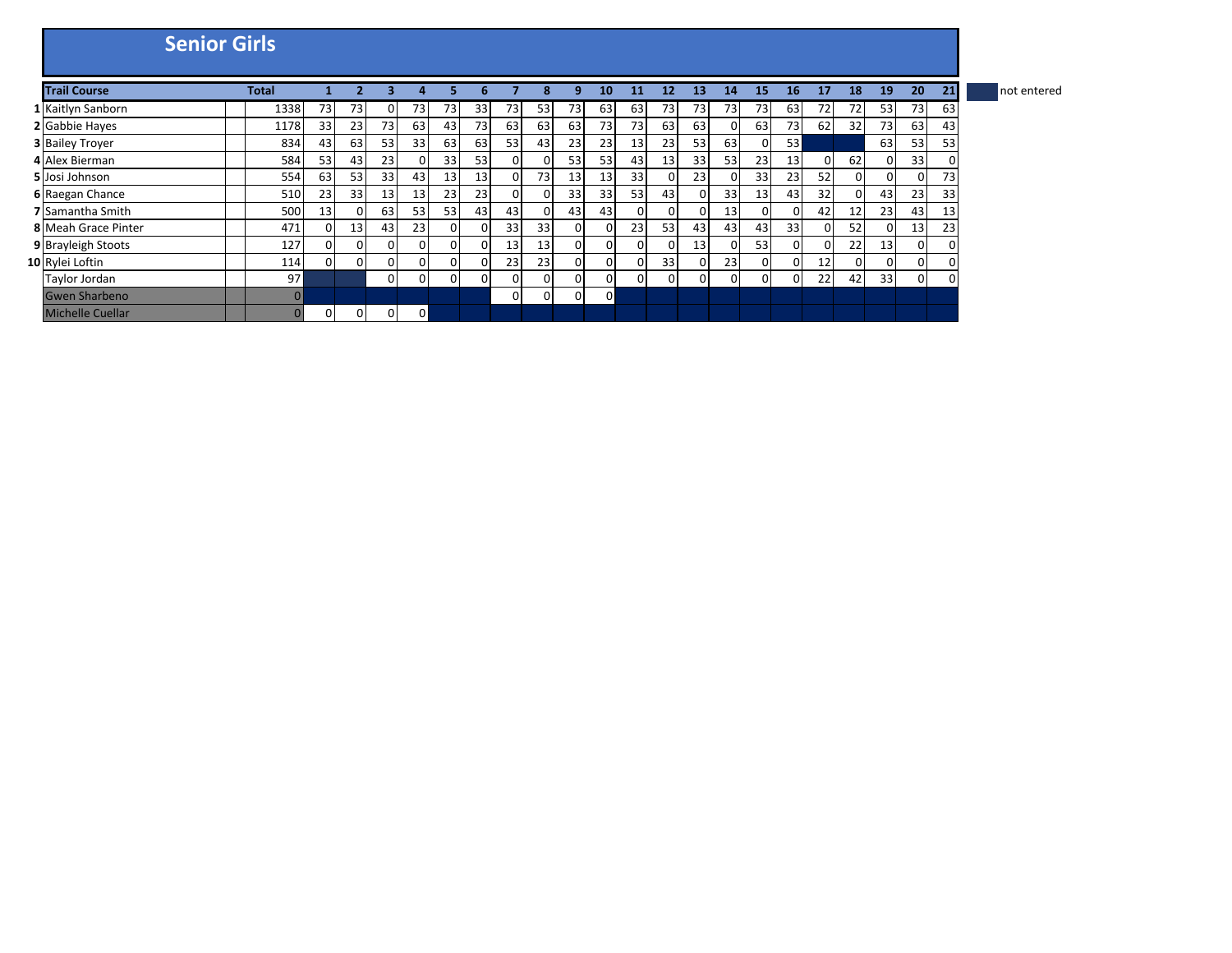| <b>Senior Girls</b>     |              |          |    |                 |              |          |    |                 |                 |          |    |                 |          |          |                 |                 |    |          |    |              |    |    |             |
|-------------------------|--------------|----------|----|-----------------|--------------|----------|----|-----------------|-----------------|----------|----|-----------------|----------|----------|-----------------|-----------------|----|----------|----|--------------|----|----|-------------|
| <b>Trail Course</b>     | <b>Total</b> |          |    |                 |              |          |    |                 |                 |          | 10 | 11              | 12       | 13       | 14              | 15              | 16 | 17       | 18 | 19           | 20 | 21 | not entered |
| 1 Kaitlyn Sanborn       | 1338         | 73       | 73 | $\Omega$        | 73           | 73       | 33 | 73              | 53              | 73       | 63 | 63              | 73       | 73       | 73 <sup>1</sup> | 73              | 63 | 72       | 72 | 53           | 73 | 63 |             |
| 2 Gabbie Hayes          | 1178         | 33       | 23 | 73              | 63           | 43       | 73 | 63              | 63              | 63       | 73 | 73              | 63       | 63       |                 | 63              | 73 | 62       | 32 | 73           | 63 | 43 |             |
| <b>3 Bailey Troyer</b>  | 834          | 43       | 63 | 53 <sub>l</sub> | 33           | 63       | 63 | 53              | 43              | 23       | 23 | 13 <sup>1</sup> | 23       | 53       | 63              | $\overline{0}$  | 53 |          |    | 63           | 53 | 53 |             |
| 4 Alex Bierman          | 584          | 53       | 43 | 23              |              | 33       | 53 | $\Omega$        | $\Omega$        | 53       | 53 | 43              | 13       | 33       | 53              | 23              | 13 | $\Omega$ | 62 | $\Omega$     | 33 | 0  |             |
| 5 Josi Johnson          | 554          | 63       | 53 | 33              | 43           | 13       | 13 | $\Omega$        | 73              | 13       | 13 | 33              |          | 23       |                 | 33              | 23 | 52       | 01 | $\Omega$     | 0  | 73 |             |
| 6 Raegan Chance         | 510          | 23       | 33 | 13              | 13           | 23       | 23 | 0               | ΟI              | 33       | 33 | 53              | 43       | $\Omega$ | 33              | 13 <sup>1</sup> | 43 | 32       | 01 | 43           | 23 | 33 |             |
| 7 Samantha Smith        | 500          | 13       |    | 63              | 53           | 53       | 43 | 43              | $\Omega$        | 43       | 43 | $\Omega$        |          | $\Omega$ | 13              | $\mathbf{0}$    | 0  | 42       | 12 | 23           | 43 | 13 |             |
| 8 Meah Grace Pinter     | 471          |          | 13 | 43              | 23           | $\Omega$ |    | 33              | 33              | 0        | 01 | 23              | 53       | 43       | 43              | 43              | 33 | $\Omega$ | 52 | $\Omega$     | 13 | 23 |             |
| 9 Brayleigh Stoots      | 127          |          |    | $\Omega$        |              | 0        |    | 13 <sub>1</sub> | 13 <sup>1</sup> | 0        | 01 | $\Omega$        |          | 13       |                 | 53              | 01 | 0        | 22 | 13           | 0  | 0  |             |
| 10 Rylei Loftin         | 114          | $\Omega$ |    | $\Omega$        | $\Omega$     | 0        |    | 23              | 23              | $\Omega$ | 01 | $\Omega$        | 33       | $\Omega$ | 23              | $\mathbf{0}$    | 0  | 12       | 01 | $\mathbf{0}$ | 0  | 0  |             |
| Taylor Jordan           | 97           |          |    | $\Omega$        | $\Omega$     | 0        |    | $\Omega$        | $\Omega$        | $\Omega$ | ΩI | $\Omega$        | $\Omega$ | $\Omega$ |                 | $\Omega$        | 0  | 22       | 42 | 33           | 0  | 0  |             |
| <b>Gwen Sharbeno</b>    | $\Omega$     |          |    |                 |              |          |    | $\Omega$        | $\Omega$        | $\Omega$ | 0  |                 |          |          |                 |                 |    |          |    |              |    |    |             |
| <b>Michelle Cuellar</b> |              | 0        |    | 0               | $\mathbf{0}$ |          |    |                 |                 |          |    |                 |          |          |                 |                 |    |          |    |              |    |    |             |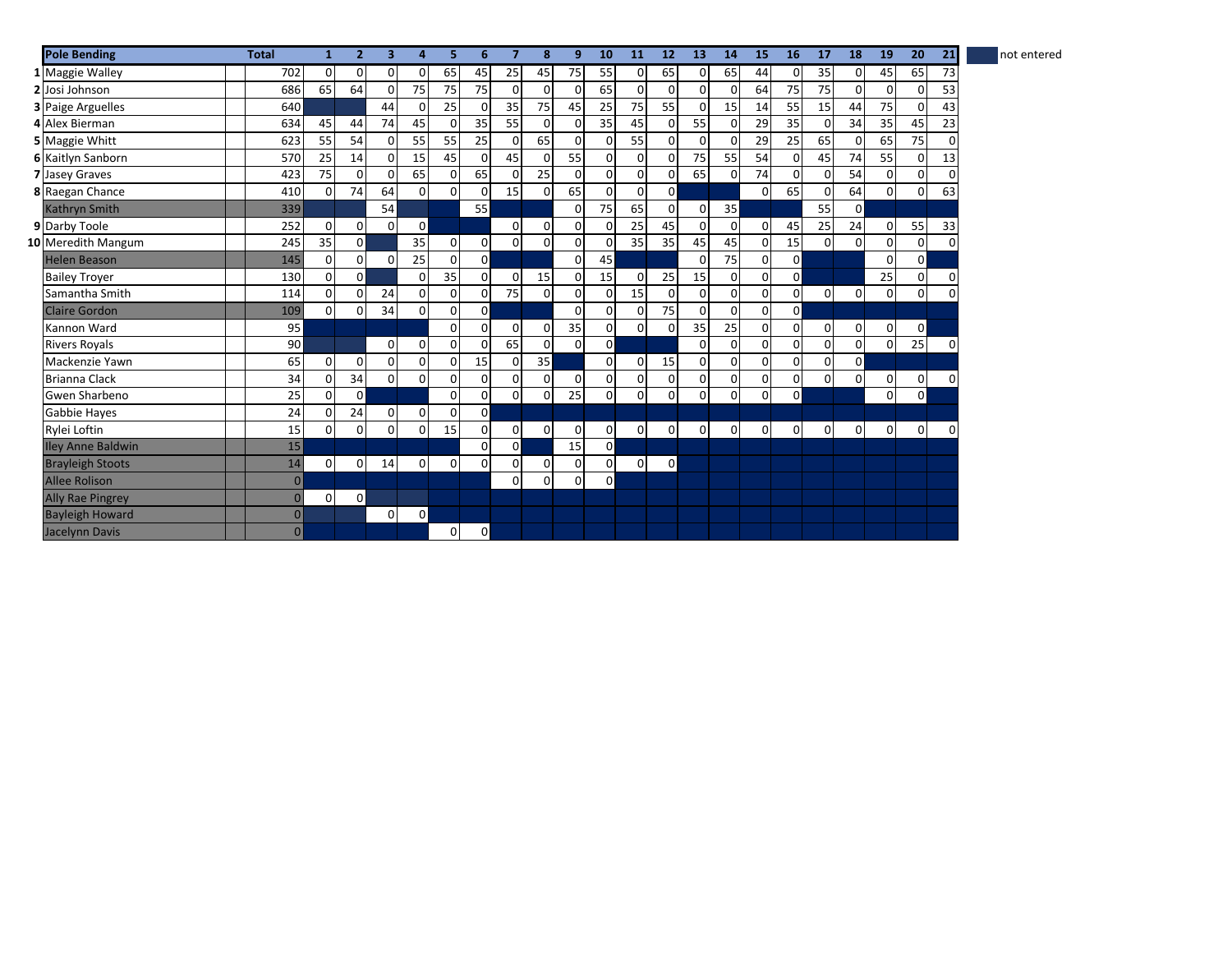| <b>Pole Bending</b>      | <b>Total</b>   | 1           | $\overline{2}$ | 3            | 4              | 5           | 6              | $\overline{7}$ | 8              | 9           | 10             | <b>11</b>      | 12             | <b>13</b>      | 14           | 15             | <b>16</b>      | 17             | 18             | <b>19</b>    | 20             | 21          | not entered |
|--------------------------|----------------|-------------|----------------|--------------|----------------|-------------|----------------|----------------|----------------|-------------|----------------|----------------|----------------|----------------|--------------|----------------|----------------|----------------|----------------|--------------|----------------|-------------|-------------|
| 1 Maggie Walley          | 702            | 0           | $\Omega$       | $\mathbf{0}$ | $\overline{0}$ | 65          | 45             | 25             | 45             | 75          | 55             | $\overline{0}$ | 65             | $\Omega$       | 65           | 44             | $\Omega$       | 35             | $\Omega$       | 45           | 65             | 73          |             |
| 2 Josi Johnson           | 686            | 65          | 64             | $\Omega$     | 75             | 75          | 75             | $\Omega$       | $\Omega$       | $\Omega$    | 65             | $\Omega$       | $\Omega$       | $\overline{0}$ | $\Omega$     | 64             | 75             | 75             | $\Omega$       | 0            | $\overline{0}$ | 53          |             |
| <b>3</b> Paige Arguelles | 640            |             |                | 44           | $\Omega$       | 25          |                | 35             | 75             | 45          | 25             | 75             | 55             | $\Omega$       | 15           | 14             | 55             | 15             | 44             | 75           | $\overline{0}$ | 43          |             |
| 4 Alex Bierman           | 634            | 45          | 44             | 74           | 45             | $\mathbf 0$ | 35             | 55             | $\Omega$       | $\Omega$    | 35             | 45             | $\Omega$       | 55             | <sup>n</sup> | 29             | 35             | $\mathbf 0$    | 34             | 35           | 45             | 23          |             |
| 5 Maggie Whitt           | 623            | 55          | 54             | $\Omega$     | 55             | 55          | 25             | $\mathbf 0$    | 65             | 0           | $\Omega$       | 55             | 0              | $\mathbf 0$    | 0            | 29             | 25             | 65             | $\overline{0}$ | 65           | 75             | $\Omega$    |             |
| <b>6 Kaitlyn Sanborn</b> | 570            | 25          | 14             | 0            | 15             | 45          | $\Omega$       | 45             | $\Omega$       | 55          | $\Omega$       | 0              | $\Omega$       | 75             | 55           | 54             | $\overline{0}$ | 45             | 74             | 55           | $\overline{0}$ | 13          |             |
| 7 Jasey Graves           | 423            | 75          |                | $\Omega$     | 65             | $\mathbf 0$ | 65             | $\Omega$       | 25             | $\mathbf 0$ | $\Omega$       | $\mathbf 0$    | $\mathbf 0$    | 65             | $\Omega$     | 74             | $\overline{0}$ | $\mathbf 0$    | 54             | $\mathbf 0$  | $\mathbf{0}$   | $\mathbf 0$ |             |
| 8 Raegan Chance          | 410            | $\Omega$    | 74             | 64           | $\Omega$       | $\Omega$    |                | 15             | $\Omega$       | 65          | ΩI             | $\Omega$       | $\mathbf{0}$   |                |              | $\overline{0}$ | 65             | $\mathbf 0$    | 64             | $\mathbf 0$  | $\mathbf{0}$   | 63          |             |
| <b>Kathryn Smith</b>     | 339            |             |                | 54           |                |             | 55             |                |                | $\Omega$    | 75             | 65             | $\mathbf 0$    | $\mathbf{0}$   | 35           |                |                | 55             | $\mathbf{0}$   |              |                |             |             |
| 9 Darby Toole            | 252            | $\Omega$    | $\Omega$       | $\Omega$     | $\mathbf{0}$   |             |                | $\Omega$       | $\overline{0}$ | $\Omega$    | $\Omega$       | 25             | 45             | $\Omega$       |              | $\overline{0}$ | 45             | 25             | 24             | $\mathbf 0$  | 55             | 33          |             |
| 10 Meredith Mangum       | 245            | 35          | $\Omega$       |              | 35             | 0           | $\Omega$       | $\mathbf 0$    | $\Omega$       | $\Omega$    | $\Omega$       | 35             | 35             | 45             | 45           | $\overline{0}$ | 15             | $\mathbf 0$    | $\Omega$       | 0            | $\mathbf{0}$   | $\Omega$    |             |
| <b>Helen Beason</b>      | 145            | $\Omega$    | $\Omega$       | $\Omega$     | 25             | $\mathbf 0$ | $\Omega$       |                |                | $\Omega$    | 45             |                |                | $\Omega$       | 75           | $\mathbf{0}$   | $\mathbf{0}$   |                |                | 0            | $\mathbf{0}$   |             |             |
| <b>Bailey Trover</b>     | 130            | 0           | $\Omega$       |              | 0              | 35          | $\Omega$       | 0              | 15             | $\mathbf 0$ | 15             | $\mathbf 0$    | 25             | 15             | <sup>0</sup> | $\overline{0}$ | $\overline{0}$ |                |                | 25           | $\overline{0}$ | 0           |             |
| Samantha Smith           | 114            | 0           | $\Omega$       | 24           | 0              | $\mathbf 0$ | $\Omega$       | 75             | $\Omega$       | $\Omega$    | $\overline{0}$ | 15             | $\Omega$       | $\mathbf 0$    | $\Omega$     | $\overline{0}$ | $\mathbf{0}$   | $\overline{0}$ | $\overline{0}$ | $\mathbf{O}$ | $\mathbf{0}$   | $\Omega$    |             |
| <b>Claire Gordon</b>     | 109            | $\Omega$    |                | 34           | $\Omega$       | $\mathbf 0$ | $\Omega$       |                |                | $\Omega$    | $\Omega$       | $\Omega$       | 75             | $\mathbf 0$    |              | $\overline{0}$ | $\overline{0}$ |                |                |              |                |             |             |
| Kannon Ward              | 95             |             |                |              |                | $\Omega$    | $\Omega$       | $\overline{0}$ | $\overline{0}$ | 35          | $\Omega$       | $\Omega$       | $\Omega$       | 35             | 25           | $\Omega$       | $\overline{0}$ | $\overline{0}$ | $\overline{0}$ | $\mathbf 0$  | $\overline{0}$ |             |             |
| <b>Rivers Royals</b>     | 90             |             |                | $\Omega$     | 0              | $\Omega$    |                | 65             | $\overline{0}$ | $\Omega$    | $\Omega$       |                |                | $\Omega$       |              | $\overline{0}$ | $\overline{0}$ | $\Omega$       | $\Omega$       | $\mathbf 0$  | 25             |             |             |
| Mackenzie Yawn           | 65             | $\mathbf 0$ | 0              | $\mathbf 0$  | $\mathbf 0$    | $\mathbf 0$ | 15             | $\mathbf 0$    | 35             |             | $\Omega$       | $\overline{0}$ | 15             | $\overline{0}$ | $\Omega$     | $\Omega$       | $\overline{0}$ | 0              | $\mathbf{0}$   |              |                |             |             |
| <b>Brianna Clack</b>     | 34             | 0           | 34             | $\mathbf{0}$ | $\overline{0}$ | 0           | $\Omega$       | 0              | $\overline{0}$ | 0           | $\Omega$       | $\mathbf 0$    | $\overline{0}$ | 0              | <sup>0</sup> | $\overline{0}$ | $\overline{0}$ | $\mathbf 0$    | 0              | 0            | $\mathbf 0$    | $\Omega$    |             |
| Gwen Sharbeno            | 25             | $\Omega$    | $\mathsf{o}$   |              |                | $\mathbf 0$ | $\Omega$       | 0              | $\Omega$       | 25          | $\Omega$       | $\mathbf 0$    | $\Omega$       | $\Omega$       | $\Omega$     | $\overline{0}$ | $\Omega$       |                |                | $\mathbf 0$  | $\mathbf{0}$   |             |             |
| Gabbie Hayes             | 24             | 0           | 24             | $\Omega$     | $\mathbf{0}$   | $\mathbf 0$ | $\mathsf{o}$   |                |                |             |                |                |                |                |              |                |                |                |                |              |                |             |             |
| Rylei Loftin             | 15             | 0           | $\Omega$       | $\mathbf 0$  | $\Omega$       | 15          | $\Omega$       | $\mathbf 0$    | $\overline{0}$ | 0           | $\overline{0}$ | $\overline{0}$ | $\overline{0}$ | $\overline{0}$ | $\Omega$     | $\overline{0}$ | $\overline{0}$ | 0              | $\overline{0}$ | $\mathbf 0$  | $\mathbf 0$    | $\Omega$    |             |
| <b>Iley Anne Baldwin</b> | 15             |             |                |              |                |             | $\Omega$       | $\mathsf{o}$   |                | 15          | $\overline{0}$ |                |                |                |              |                |                |                |                |              |                |             |             |
| <b>Brayleigh Stoots</b>  | 14             | $\Omega$    | $\Omega$       | 14           | $\Omega$       | $\mathbf 0$ | $\Omega$       | $\Omega$       | $\overline{0}$ | $\Omega$    | $\Omega$       | $\overline{0}$ | $\circ$        |                |              |                |                |                |                |              |                |             |             |
| <b>Allee Rolison</b>     | $\overline{0}$ |             |                |              |                |             |                | $\mathbf 0$    | $\Omega$       | $\mathbf 0$ | $\overline{0}$ |                |                |                |              |                |                |                |                |              |                |             |             |
| <b>Ally Rae Pingrey</b>  | $\overline{0}$ | 0           | οI             |              |                |             |                |                |                |             |                |                |                |                |              |                |                |                |                |              |                |             |             |
| <b>Bayleigh Howard</b>   | $\overline{0}$ |             |                | $\Omega$     | $\mathbf{0}$   |             |                |                |                |             |                |                |                |                |              |                |                |                |                |              |                |             |             |
| Jacelynn Davis           | $\overline{0}$ |             |                |              |                | 0           | $\overline{0}$ |                |                |             |                |                |                |                |              |                |                |                |                |              |                |             |             |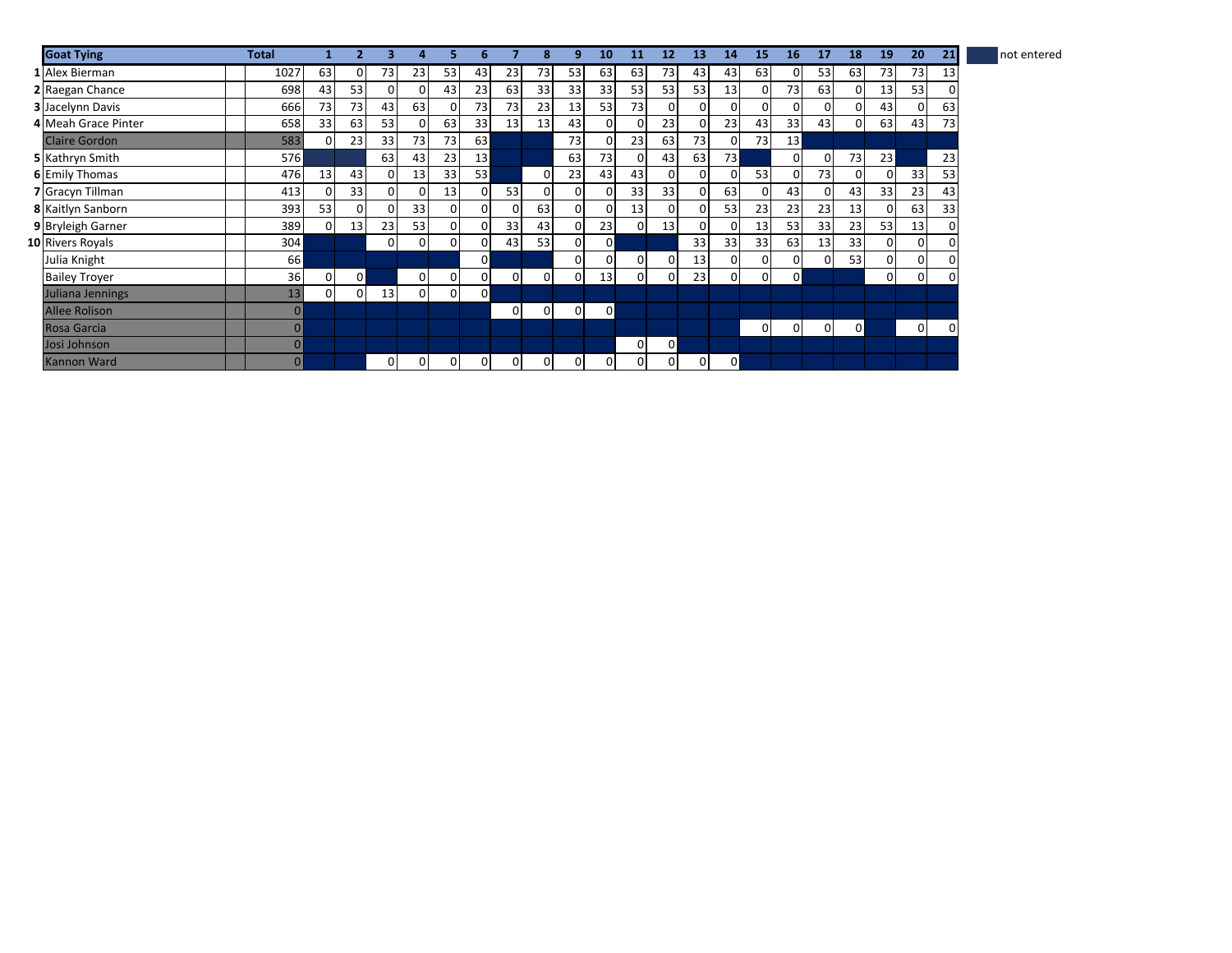| <b>Goat Tying</b>       | Total           |                |    |                |                |                |                 |              |                | q        | 10              | 11       | 12 | 13             | 14              | 15              | 16             | 17             | 18       | 19           | 20       | 21 | not entered |
|-------------------------|-----------------|----------------|----|----------------|----------------|----------------|-----------------|--------------|----------------|----------|-----------------|----------|----|----------------|-----------------|-----------------|----------------|----------------|----------|--------------|----------|----|-------------|
| 1 Alex Bierman          | 1027            | 63             |    | 73             | 23             | 53             | 43              | 23           | 73             | 53       | 63              | 63       | 73 | 43             | 43              | 63              | 0              | 53             | 63       | 73           | 73       | 13 |             |
| 2 Raegan Chance         | 698             | 43             | 53 | $\Omega$       |                | 43             | 23              | 63           | 33             | 33       | 33 <sub>1</sub> | 53       | 53 | 53             | 13              | $\overline{0}$  | 73             | 63             | 01       | 13           | 53       | 0  |             |
| <b>3</b> Jacelynn Davis | 666             | 73             | 73 | 43             | 63             | 0              | 73              | 73           | 23             | 13       | 53              | 73       |    | $\Omega$       |                 | $\Omega$        | 01             | 0              | 01       | 43           | $\Omega$ | 63 |             |
| 4 Meah Grace Pinter     | 658             | 33             | 63 | 53             |                | 63             | 33              | 13           | 13             | 43       | 0               | 0        | 23 | $\Omega$       | 23              | 43              | 33             | 43             | $\Omega$ | 63           | 43       | 73 |             |
| <b>Claire Gordon</b>    | 583             | $\Omega$       | 23 | 33             | 73             | 73             | 63              |              |                | 73       |                 | 23       | 63 | 73             |                 | 73              | 13             |                |          |              |          |    |             |
| 5 Kathryn Smith         | 576             |                |    | 63             | 43             | 23             | 13 <sup>1</sup> |              |                | 63       | 73              | $\Omega$ | 43 | 63             | 73 <sub>l</sub> |                 | $\Omega$       | 0              | 73       | 23           |          | 23 |             |
| <b>6</b> Emily Thomas   | 476             | 13             | 43 | $\overline{0}$ | 13             | 33             | 53              |              | $\overline{0}$ | 23       | 43              | 43       | 0  | $\mathbf{0}$   |                 | 53              | $\overline{0}$ | 73             | 0        | $\mathbf{0}$ | 33       | 53 |             |
| 7 Gracyn Tillman        | 413             | 0              | 33 | $\Omega$       |                | 13             |                 | 53           | $\overline{0}$ | 0        | ΟI              | 33       | 33 | $\overline{0}$ | 63              | $\overline{0}$  | 43             | $\overline{0}$ | 43       | 33           | 23       | 43 |             |
| 8 Kaitlyn Sanborn       | 393             | 53             |    | <sup>n</sup>   | 33             | 0              |                 | 0            | 63             | 0        |                 | 13       |    | $\Omega$       | 53              | 23              | 23             | 23             | 13       | $\mathbf{0}$ | 63       | 33 |             |
| 9 Bryleigh Garner       | 389             | $\Omega$       | 13 | 23             | 53             | 0              |                 | 33           | 43             | 0        | 23              | $\Omega$ | 13 | $\Omega$       |                 | 13 <sup>1</sup> | 53             | 33             | 23       | 53           | 13       | 0  |             |
| 10 Rivers Royals        | 304             |                |    | $\Omega$       | $\Omega$       | 0              |                 | 43           | 53             | 0        | $\Omega$        |          |    | 33             | 33              | 33              | 63             | 13             | 33       | $\Omega$     | 0        | 0  |             |
| Julia Knight            | 66 <sup>1</sup> |                |    |                |                |                | 0               |              |                | 0        | 01              | $\Omega$ |    | 13             |                 | $\overline{0}$  | 0              | $\Omega$       | 53       | $\mathbf{0}$ | 0        | 0  |             |
| <b>Bailey Troyer</b>    | 36              | $\overline{0}$ | ٥I |                | $\overline{0}$ | 0              |                 | $\mathbf{0}$ | $\overline{0}$ | 0        | 13              | $\Omega$ | 0  | 23             |                 | $\overline{0}$  | 0              |                |          | $\mathbf{0}$ | 0        | 0  |             |
| Juliana Jennings        | 13              | $\Omega$       |    | 13             | $\Omega$       | $\overline{0}$ | ΟI              |              |                |          |                 |          |    |                |                 |                 |                |                |          |              |          |    |             |
| <b>Allee Rolison</b>    | $\Omega$        |                |    |                |                |                |                 | 0            | $\Omega$       | $\Omega$ | $\overline{0}$  |          |    |                |                 |                 |                |                |          |              |          |    |             |
| Rosa Garcia             | $\overline{0}$  |                |    |                |                |                |                 |              |                |          |                 |          |    |                |                 | $\Omega$        | 0              | $\overline{0}$ | 0        |              | 0        | 0  |             |
| Josi Johnson            |                 |                |    |                |                |                |                 |              |                |          |                 | $\Omega$ | οI |                |                 |                 |                |                |          |              |          |    |             |
| Kannon Ward             | $\Omega$        |                |    | $\Omega$       |                | 0              |                 | 0            | $\Omega$       | 0        | 01              | $\Omega$ |    | $\overline{0}$ | ٥I              |                 |                |                |          |              |          |    |             |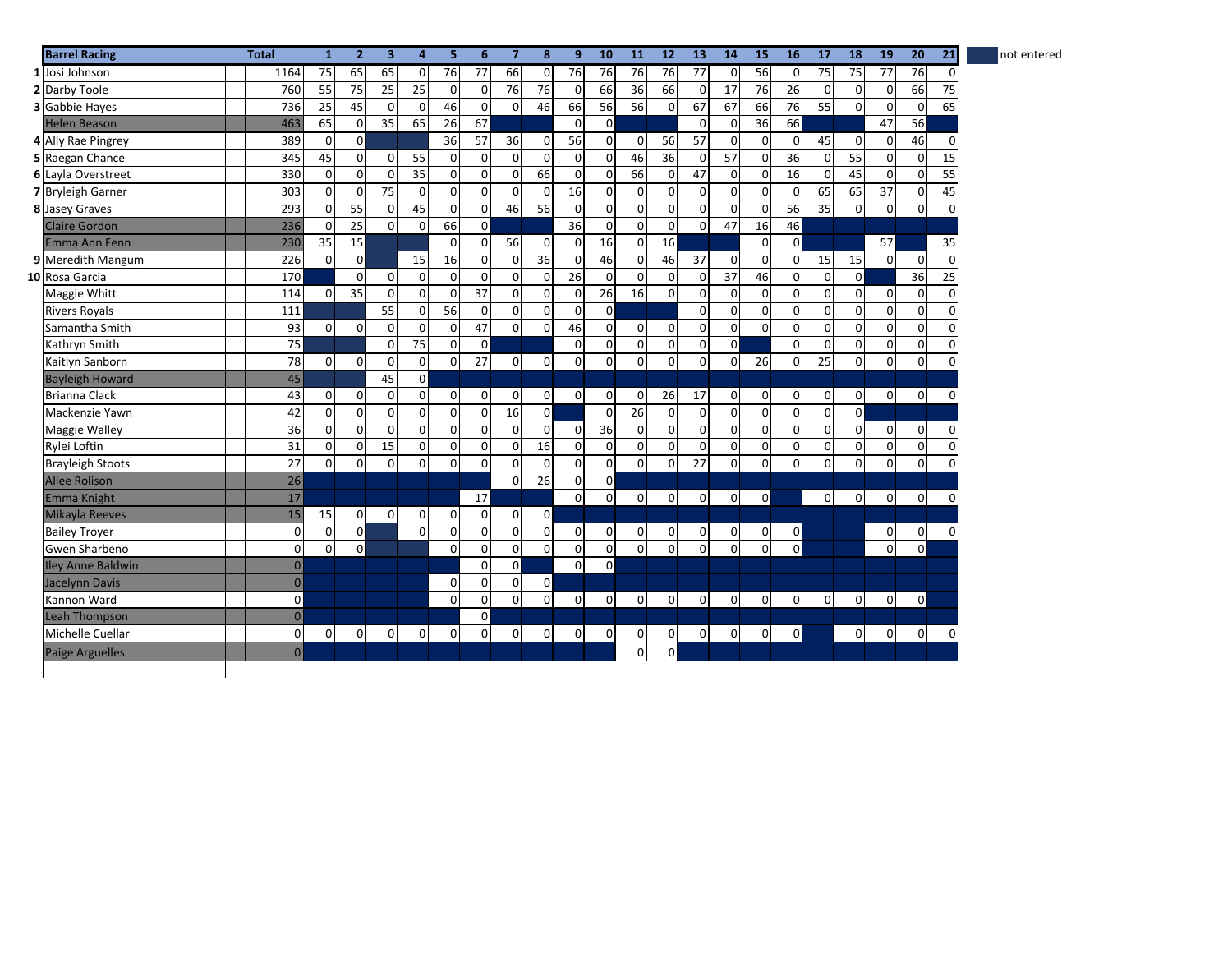| <b>Barrel Racing</b>     | <b>Total</b>   | $\mathbf{1}$    | $\overline{2}$ | 3                   | 4              | 5           | 6              | $\overline{7}$      | 8              | 9               | 10             | 11              | 12             | 13              | 14              | 15             | 16             | 17          | 18             | 19                  | 20             | 21          | not entered |
|--------------------------|----------------|-----------------|----------------|---------------------|----------------|-------------|----------------|---------------------|----------------|-----------------|----------------|-----------------|----------------|-----------------|-----------------|----------------|----------------|-------------|----------------|---------------------|----------------|-------------|-------------|
| 1 Josi Johnson           | 1164           | $\overline{75}$ | 65             | 65                  | $\mathbf 0$    | 76          | 77             | 66                  | $\mathbf 0$    | 76              | 76             | 76              | 76             | $\overline{77}$ | $\Omega$        | 56             | $\mathbf 0$    | 75          | 75             | 77                  | 76             | 0           |             |
| 2 Darby Toole            | 760            | 55              | 75             | 25                  | 25             | $\mathbf 0$ | $\Omega$       | 76                  | 76             | $\mathbf 0$     | 66             | 36              | 66             | $\mathbf 0$     | 17              | 76             | 26             | $\mathbf 0$ | $\mathbf 0$    | 0                   | 66             | 75          |             |
| <b>3</b> Gabbie Hayes    | 736            | 25              | 45             | $\mathbf 0$         | $\mathbf 0$    | 46          | $\mathbf 0$    | $\mathbf 0$         | 46             | 66              | 56             | 56              | $\Omega$       | 67              | 67              | 66             | 76             | 55          | $\overline{0}$ | $\pmb{0}$           | $\mathbf 0$    | 65          |             |
| <b>Helen Beason</b>      | 463            | 65              | 0              | 35                  | 65             | 26          | 67             |                     |                | $\Omega$        | $\overline{0}$ |                 |                | $\Omega$        | $\Omega$        | 36             | 66             |             |                | 47                  | 56             |             |             |
| 4 Ally Rae Pingrey       | 389            | $\Omega$        | οI             |                     |                | 36          | 57             | 36                  | $\overline{0}$ | 56              | $\Omega$       | $\overline{0}$  | 56             | 57              | $\Omega$        | $\overline{0}$ | $\overline{0}$ | 45          | $\mathbf{0}$   | $\mathsf{O}\xspace$ | 46             | 0           |             |
| 5 Raegan Chance          | 345            | 45              | $\Omega$       | $\mathbf{0}$        | 55             | $\mathbf 0$ | $\Omega$       | $\mathbf 0$         | $\Omega$       | $\Omega$        | $\Omega$       | 46              | 36             | $\mathbf 0$     | $\overline{57}$ | $\Omega$       | 36             | $\mathbf 0$ | 55             | $\pmb{0}$           | $\overline{0}$ | 15          |             |
| 6 Layla Overstreet       | 330            | $\mathbf 0$     | $\Omega$       | $\mathbf 0$         | 35             | $\mathbf 0$ | $\mathbf 0$    | $\mathbf 0$         | 66             | $\mathbf 0$     | $\overline{0}$ | 66              | $\mathbf 0$    | 47              | $\overline{0}$  | $\Omega$       | 16             | $\mathbf 0$ | 45             | $\mathbf 0$         | $\overline{0}$ | 55          |             |
| 7 Bryleigh Garner        | 303            | $\mathbf 0$     | $\Omega$       | 75                  | 0              | $\mathbf 0$ | $\Omega$       | $\pmb{0}$           | $\mathbf 0$    | 16              | $\overline{0}$ | $\pmb{0}$       | $\mathbf 0$    | $\mathbf 0$     | $\Omega$        | $\overline{0}$ | $\mathbf{0}$   | 65          | 65             | 37                  | $\overline{0}$ | 45          |             |
| <b>8</b> Jasey Graves    | 293            | $\mathbf 0$     | 55             | $\mathbf 0$         | 45             | $\mathbf 0$ | $\Omega$       | 46                  | 56             | $\mathbf 0$     | $\overline{0}$ | $\pmb{0}$       | $\mathbf 0$    | $\mathbf 0$     | $\Omega$        | $\overline{0}$ | 56             | 35          | $\mathbf{0}$   | 0                   | $\mathbf{0}$   | $\mathbf 0$ |             |
| <b>Claire Gordon</b>     | 236            | $\mathbf 0$     | 25             | $\overline{0}$      | $\Omega$       | 66          | $\mathsf{o}$   |                     |                | 36              | $\overline{0}$ | $\mathbf 0$     | $\mathbf 0$    | $\mathbf 0$     | 47              | 16             | 46             |             |                |                     |                |             |             |
| Emma Ann Fenn            | 230            | 35              | 15             |                     |                | $\Omega$    | $\Omega$       | 56                  | $\mathbf 0$    | $\mathbf 0$     | 16             | $\mathbf 0$     | 16             |                 |                 | $\overline{0}$ | $\overline{0}$ |             |                | 57                  |                | 35          |             |
| 9 Meredith Mangum        | 226            | $\Omega$        | οI             |                     | 15             | 16          | $\Omega$       | 0                   | 36             | $\mathbf 0$     | 46             | $\mathbf 0$     | 46             | 37              | $\Omega$        | $\Omega$       | $\overline{0}$ | 15          | 15             | $\mathbf{0}$        | $\mathbf{0}$   | $\mathbf 0$ |             |
| 10 Rosa Garcia           | 170            |                 | $\Omega$       | $\mathbf 0$         | $\mathbf 0$    | $\mathbf 0$ | $\Omega$       | $\mathbf 0$         | $\mathbf 0$    | $\overline{26}$ | $\Omega$       | $\mathbf 0$     | $\Omega$       | $\Omega$        | 37              | 46             | $\Omega$       | $\mathbf 0$ | $\overline{0}$ |                     | 36             | 25          |             |
| Maggie Whitt             | 114            | $\mathbf 0$     | 35             | $\mathbf 0$         | $\mathbf 0$    | $\mathbf 0$ | 37             | $\mathsf{O}\xspace$ | $\mathbf 0$    | $\mathbf 0$     | 26             | 16              | $\Omega$       | $\mathbf 0$     | $\Omega$        | $\overline{0}$ | $\overline{0}$ | $\pmb{0}$   | $\overline{0}$ | 0                   | $\overline{0}$ | $\mathbf 0$ |             |
| <b>Rivers Royals</b>     | 111            |                 |                | 55                  | $\mathbf 0$    | 56          | $\mathbf 0$    | $\mathsf{O}\xspace$ | $\mathbf 0$    | $\mathbf 0$     | $\overline{0}$ |                 |                | $\mathbf 0$     | $\Omega$        | $\overline{0}$ | $\mathbf 0$    | $\pmb{0}$   | $\overline{0}$ | $\mathsf{O}\xspace$ | $\overline{0}$ | $\mathbf 0$ |             |
| Samantha Smith           | 93             | $\mathbf 0$     | $\Omega$       | $\mathbf 0$         | $\mathbf 0$    | $\mathbf 0$ | 47             | $\mathsf{O}\xspace$ | $\mathbf 0$    | 46              | $\overline{0}$ | $\mathbf 0$     | $\mathbf 0$    | $\mathbf 0$     | $\overline{0}$  | $\overline{0}$ | $\mathbf 0$    | 0           | $\mathbf{0}$   | $\mathsf{O}\xspace$ | $\mathbf 0$    | 0           |             |
| Kathryn Smith            | 75             |                 |                | $\mathbf 0$         | 75             | $\mathbf 0$ | $\mathbf{0}$   |                     |                | $\mathbf 0$     | $\overline{0}$ | $\mathbf 0$     | $\mathbf 0$    | $\mathbf 0$     | $\mathsf{o}$    |                | $\mathbf 0$    | $\mathbf 0$ | $\mathbf{0}$   | $\pmb{0}$           | $\mathbf 0$    | 0           |             |
| Kaitlyn Sanborn          | 78             | $\mathbf 0$     | $\Omega$       | $\mathbf 0$         | $\mathbf 0$    | $\mathbf 0$ | 27             | $\pmb{0}$           | $\mathbf 0$    | $\mathbf 0$     | $\overline{0}$ | $\mathbf 0$     | $\Omega$       | $\mathbf 0$     | $\Omega$        | 26             | $\overline{0}$ | 25          | $\overline{0}$ | $\mathbf{0}$        | $\mathbf{0}$   | $\Omega$    |             |
| <b>Bayleigh Howard</b>   | 45             |                 |                | 45                  | $\circ$        |             |                |                     |                |                 |                |                 |                |                 |                 |                |                |             |                |                     |                |             |             |
| <b>Brianna Clack</b>     | 43             | $\mathbf{0}$    | $\Omega$       | $\mathbf 0$         | $\mathbf 0$    | $\mathbf 0$ | $\Omega$       | 0                   | $\mathbf{0}$   | $\Omega$        | $\Omega$       | $\mathbf 0$     | 26             | 17              | $\Omega$        | $\overline{0}$ | $\overline{0}$ | 0           | $\overline{0}$ | $\mathsf{O}\xspace$ | $\overline{0}$ | $\Omega$    |             |
| Mackenzie Yawn           | 42             | $\mathbf 0$     | $\Omega$       | $\mathsf{O}\xspace$ | $\mathbf 0$    | $\mathbf 0$ | $\Omega$       | 16                  | $\overline{0}$ |                 | $\Omega$       | $\overline{26}$ | $\mathbf 0$    | $\mathbf 0$     | $\Omega$        | $\overline{0}$ | $\mathbf 0$    | $\pmb{0}$   | $\overline{0}$ |                     |                |             |             |
| <b>Maggie Walley</b>     | 36             | $\mathbf 0$     | $\Omega$       | $\mathbf 0$         | $\mathbf 0$    | 0           | $\Omega$       | 0                   | $\mathbf 0$    | 0               | 36             | $\mathbf 0$     | $\mathbf 0$    | $\mathbf 0$     | $\overline{0}$  | $\overline{0}$ | $\mathbf 0$    | 0           | $\overline{0}$ | $\pmb{0}$           | $\overline{0}$ | 0           |             |
| Rylei Loftin             | 31             | $\mathbf 0$     | $\Omega$       | 15                  | $\mathbf 0$    | 0           | $\Omega$       | 0                   | 16             | $\mathbf 0$     | $\overline{0}$ | $\pmb{0}$       | $\Omega$       | $\mathbf 0$     | $\Omega$        | $\overline{0}$ | $\mathbf 0$    | 0           | $\mathbf{0}$   | $\pmb{0}$           | $\mathbf 0$    | 0           |             |
| <b>Brayleigh Stoots</b>  | 27             | $\mathbf 0$     | $\Omega$       | $\mathbf 0$         | $\mathbf 0$    | 0           | $\Omega$       | 0                   | $\mathbf 0$    | $\mathbf 0$     | $\overline{0}$ | $\overline{0}$  | $\mathbf 0$    | 27              | $\overline{0}$  | $\overline{0}$ | $\overline{0}$ | $\mathbf 0$ | $\mathsf{o}$   | $\mathbf 0$         | $\mathbf{0}$   | $\mathbf 0$ |             |
| <b>Allee Rolison</b>     | 26             |                 |                |                     |                |             |                | $\mathbf 0$         | 26             | $\mathbf 0$     | $\overline{0}$ |                 |                |                 |                 |                |                |             |                |                     |                |             |             |
| Emma Knight              | 17             |                 |                |                     |                |             | 17             |                     |                | $\Omega$        | $\Omega$       | $\overline{0}$  | $\Omega$       | $\mathbf 0$     | $\Omega$        | $\overline{0}$ |                | $\mathbf 0$ | $\overline{0}$ | $\mathbf 0$         | $\mathbf{0}$   | $\Omega$    |             |
| Mikayla Reeves           | 15             | 15              | 0              | $\mathbf 0$         | 0              | $\mathbf 0$ | $\Omega$       | $\pmb{0}$           | $\mathbf{0}$   |                 |                |                 |                |                 |                 |                |                |             |                |                     |                |             |             |
| <b>Bailey Trover</b>     | $\mathbf 0$    | 0               | $\mathsf{o}$   |                     | 0              | 0           | $\mathbf 0$    | $\pmb{0}$           | $\mathbf 0$    | $\mathsf 0$     | $\overline{0}$ | $\mathbf 0$     | $\mathbf 0$    | $\mathbf 0$     | $\overline{0}$  | $\overline{0}$ | $\mathbf{0}$   |             |                | 0                   | $\overline{0}$ | $\Omega$    |             |
| Gwen Sharbeno            | 0              | $\mathbf 0$     | οI             |                     |                | $\Omega$    | $\Omega$       | $\overline{0}$      | $\Omega$       | $\mathbf 0$     | $\overline{0}$ | $\mathbf 0$     | $\Omega$       | $\mathbf 0$     | $\Omega$        | $\overline{0}$ | $\overline{0}$ |             |                | $\pmb{0}$           | $\mathbf{0}$   |             |             |
| <b>Iley Anne Baldwin</b> | $\overline{0}$ |                 |                |                     |                |             | $\Omega$       | $\circ$             |                | $\mathbf 0$     | $\mathbf{0}$   |                 |                |                 |                 |                |                |             |                |                     |                |             |             |
| Jacelynn Davis           | $\overline{0}$ |                 |                |                     |                | $\mathbf 0$ | $\Omega$       | $\mathbf 0$         | $\overline{0}$ |                 |                |                 |                |                 |                 |                |                |             |                |                     |                |             |             |
| Kannon Ward              | $\mathbf{0}$   |                 |                |                     |                | $\Omega$    | $\Omega$       | $\pmb{0}$           | $\mathbf 0$    | 0               | $\Omega$       | $\mathbf 0$     | $\mathbf 0$    | $\mathbf 0$     | $\Omega$        | $\overline{0}$ | $\overline{0}$ | $\mathbf 0$ | $\mathbf{0}$   | 0                   | $\mathbf{0}$   |             |             |
| <b>Leah Thompson</b>     | $\overline{0}$ |                 |                |                     |                |             | $\mathsf{o}$   |                     |                |                 |                |                 |                |                 |                 |                |                |             |                |                     |                |             |             |
| Michelle Cuellar         | 0              | $\mathbf 0$     | $\mathbf{0}$   | $\mathbf 0$         | $\overline{0}$ | $\mathbf 0$ | $\overline{0}$ | $\pmb{0}$           | $\mathbf 0$    | 0               | $\overline{0}$ | $\mathbf 0$     | $\overline{0}$ | $\mathbf 0$     | $\overline{0}$  | $\overline{0}$ | $\mathbf 0$    |             | $\overline{0}$ | $\mathbf 0$         | $\overline{0}$ | $\mathbf 0$ |             |
| <b>Paige Arguelles</b>   | 0              |                 |                |                     |                |             |                |                     |                |                 |                | $\mathbf 0$     | $\circ$        |                 |                 |                |                |             |                |                     |                |             |             |
|                          |                |                 |                |                     |                |             |                |                     |                |                 |                |                 |                |                 |                 |                |                |             |                |                     |                |             |             |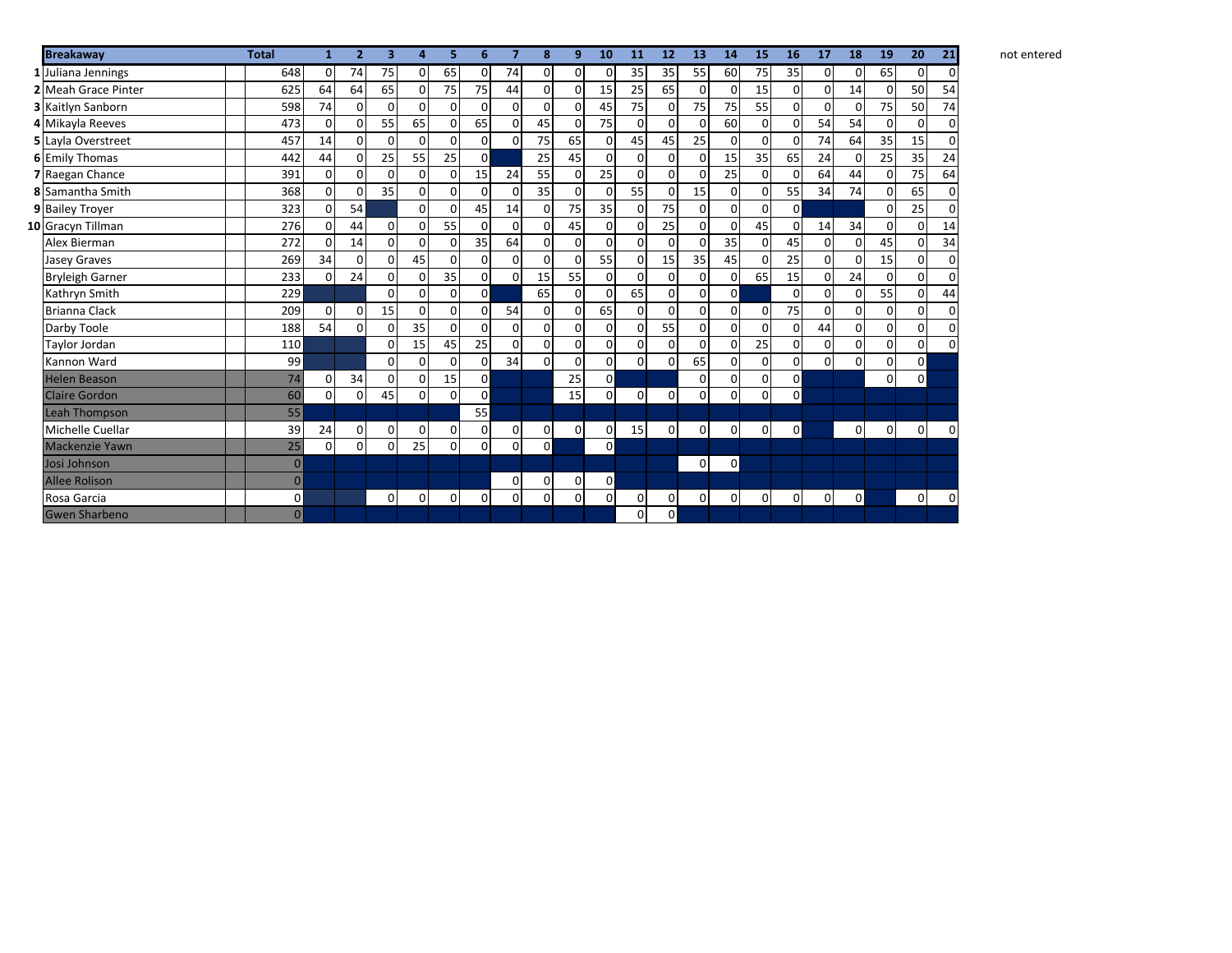| <b>Breakaway</b>           | <b>Total</b>   | 1              | $\overline{2}$ | 3        | 4           | 5              | 6              | $\overline{7}$ | 8              | 9        | 10             | 11             | 12             | 13           | 14             | 15             | 16             | 17             | 18             | 19             | 20             | 21              |
|----------------------------|----------------|----------------|----------------|----------|-------------|----------------|----------------|----------------|----------------|----------|----------------|----------------|----------------|--------------|----------------|----------------|----------------|----------------|----------------|----------------|----------------|-----------------|
| 1 Juliana Jennings         | 648            | $\Omega$       | 74             | 75       | 0           | 65             | $\mathbf 0$    | 74             | $\overline{0}$ | $\Omega$ | $\Omega$       | 35             | 35             | 55           | 60             | 75             | 35             | $\overline{0}$ | $\overline{0}$ | 65             | 0              | 0               |
| <b>2</b> Meah Grace Pinter | 625            | 64             | 64             | 65       | 0           | 75             | 75             | 44             | $\mathbf{0}$   | $\Omega$ | 15             | 25             | 65             | $\Omega$     | $\overline{0}$ | 15             | $\overline{0}$ | $\overline{0}$ | 14             | $\Omega$       | 50             | 54              |
| 3 Kaitlyn Sanborn          | 598            | 74             | $\Omega$       | 0        | $\Omega$    | 0              | $\Omega$       | $\Omega$       | $\Omega$       | $\Omega$ | 45             | 75             | $\Omega$       | 75           | 75             | 55             | $\Omega$       | $\Omega$       | $\Omega$       | 75             | 50             | $\overline{74}$ |
| 4 Mikayla Reeves           | 473            | 0              | 0              | 55       | 65          | $\overline{0}$ | 65             | $\overline{0}$ | 45             | 0        | 75             | $\Omega$       | $\mathbf{0}$   | $\mathsf{o}$ | 60             | $\mathsf{o}$   | $\overline{0}$ | 54             | 54             | $\mathbf{0}$   | $\mathbf 0$    | 0               |
| 5 Layla Overstreet         | 457            | 14             | 0              | 0        | 0           | 0              | 0              | $\Omega$       | 75             | 65       | 0              | 45             | 45             | 25           | $\Omega$       | $\Omega$       | $\Omega$       | 74             | 64             | 35             | 15             | 0               |
| <b>6 Emily Thomas</b>      | 442            | 44             | 0              | 25       | 55          | 25             | $\mathbf 0$    |                | 25             | 45       | 0              | $\Omega$       | $\overline{0}$ | $\Omega$     | 15             | 35             | 65             | 24             | $\mathbf 0$    | 25             | 35             | 24              |
| 7 Raegan Chance            | 391            | $\Omega$       | 0              | 0        | 0           | 0              | 15             | 24             | 55             | $\Omega$ | 25             | $\Omega$       | $\mathbf{0}$   | 0            | 25             | $\Omega$       | $\Omega$       | 64             | 44             | $\Omega$       | 75             | 64              |
| 8 Samantha Smith           | 368            | $\Omega$       | $\mathbf 0$    | 35       | 0           | $\Omega$       | $\Omega$       | $\Omega$       | 35             | $\Omega$ | $\Omega$       | 55             | $\Omega$       | 15           | $\overline{0}$ | ΩI             | 55             | 34             | 74             | $\Omega$       | 65             | $\mathbf 0$     |
| 9 Bailey Troyer            | 323            | $\Omega$       | 54             |          | $\Omega$    | 0              | 45             | 14             | $\Omega$       | 75       | 35             | $\Omega$       | 75             | $\Omega$     | $\overline{0}$ | $\Omega$       | $\overline{0}$ |                |                | $\Omega$       | 25             | $\mathbf 0$     |
| 10 Gracyn Tillman          | 276            | 0              | 44             | $\Omega$ | 0           | 55             | $\Omega$       | $\Omega$       | $\mathbf{0}$   | 45       | $\overline{0}$ | $\Omega$       | 25             | $\Omega$     | $\Omega$       | 45             | $\Omega$       | 14             | 34             | $\overline{0}$ | $\Omega$       | 14              |
| Alex Bierman               | 272            | $\Omega$       | 14             | $\Omega$ | 0           | $\Omega$       | 35             | 64             | $\mathbf 0$    | $\Omega$ | $\mathbf 0$    | $\Omega$       | $\Omega$       | $\Omega$     | 35             | ΩI             | 45             | $\overline{0}$ | $\Omega$       | 45             | $\mathbf 0$    | 34              |
| <b>Jasey Graves</b>        | 269            | 34             | 0              | $\Omega$ | 45          | 0              | 0              | $\Omega$       | $\Omega$       | $\Omega$ | 55             | $\Omega$       | 15             | 35           | 45             | $\Omega$       | 25             | $\Omega$       | $\Omega$       | 15             | $\Omega$       | 0               |
| <b>Bryleigh Garner</b>     | 233            | $\overline{0}$ | 24             | 0        | 0           | 35             | 0              | $\Omega$       | 15             | 55       | 0              | $\Omega$       | $\mathbf{0}$   | $\Omega$     | $\overline{0}$ | 65             | 15             | $\overline{0}$ | 24             | $\overline{0}$ | 0              | $\pmb{0}$       |
| Kathryn Smith              | 229            |                |                | $\Omega$ | 0           | $\Omega$       | $\mathbf 0$    |                | 65             | $\Omega$ | $\Omega$       | 65             | $\mathbf{0}$   | $\Omega$     | $\overline{0}$ |                | $\Omega$       | $\Omega$       | $\Omega$       | 55             | $\Omega$       | 44              |
| <b>Brianna Clack</b>       | 209            | $\Omega$       | 0              | 15       | $\Omega$    | $\Omega$       | 0              | 54             | $\Omega$       | $\Omega$ | 65             | $\Omega$       | $\mathbf{0}$   | $\Omega$     | $\overline{0}$ | $\overline{0}$ | 75             | $\mathbf{0}$   | $\mathbf 0$    | $\overline{0}$ | 0              | $\pmb{0}$       |
| Darby Toole                | 188            | 54             | $\Omega$       | 0        | 35          | $\Omega$       | $\Omega$       | $\Omega$       | $\Omega$       | $\Omega$ | $\Omega$       | $\Omega$       | 55             | $\Omega$     | $\Omega$       | $\Omega$       | $\Omega$       | 44             | $\mathbf 0$    | $\Omega$       | $\mathbf 0$    | 0               |
| Taylor Jordan              | 110            |                |                | 0        | 15          | 45             | 25             | $\Omega$       | 0              | $\Omega$ | $\mathbf 0$    | $\mathbf 0$    | $\mathbf{0}$   | $\Omega$     | $\overline{0}$ | 25             | $\mathbf 0$    | $\overline{0}$ | $\Omega$       | $\Omega$       | 0              | $\Omega$        |
| Kannon Ward                | 99             |                |                | 0        | $\mathbf 0$ | 0              | 0              | 34             | $\Omega$       | $\Omega$ | $\mathbf{0}$   | $\Omega$       | $\Omega$       | 65           | $\overline{0}$ | $\mathsf{o}$   | $\mathbf 0$    | $\Omega$       | $\Omega$       | $\Omega$       | $\mathsf{o}$   |                 |
| <b>Helen Beason</b>        | 74             | 0              | 34             | 0        | $\Omega$    | 15             | $\mathbf 0$    |                |                | 25       | $\mathbf 0$    |                |                | $\Omega$     | $\Omega$       | $\Omega$       | $\mathbf 0$    |                |                | $\Omega$       | $\mathsf{o}$   |                 |
| <b>Claire Gordon</b>       | 60             | $\Omega$       | 0              | 45       | $\Omega$    | $\Omega$       | $\overline{0}$ |                |                | 15       | $\Omega$       | $\Omega$       | $\Omega$       | $\Omega$     | $\Omega$       | 0              | $\Omega$       |                |                |                |                |                 |
| <b>Leah Thompson</b>       | 55             |                |                |          |             |                | 55             |                |                |          |                |                |                |              |                |                |                |                |                |                |                |                 |
| Michelle Cuellar           | 39             | 24             | 0              | 0        | 0           | 0              | 0              | $\Omega$       | $\mathbf 0$    | $\Omega$ | 0              | 15             | $\overline{0}$ | 0            | $\overline{0}$ | $\mathsf{o}$   | $\overline{0}$ |                | $\overline{0}$ | $\overline{0}$ | $\overline{0}$ | $\Omega$        |
| Mackenzie Yawn             | 25             | $\Omega$       | $\Omega$       | $\Omega$ | 25          | $\Omega$       | $\Omega$       | $\Omega$       | $\mathbf{0}$   |          | $\mathbf{0}$   |                |                |              |                |                |                |                |                |                |                |                 |
| Josi Johnson               | $\mathbf{0}$   |                |                |          |             |                |                |                |                |          |                |                |                | $\Omega$     | $\overline{0}$ |                |                |                |                |                |                |                 |
| <b>Allee Rolison</b>       | $\overline{0}$ |                |                |          |             |                |                | 0              | $\mathbf 0$    | $\Omega$ | $\mathbf 0$    |                |                |              |                |                |                |                |                |                |                |                 |
| Rosa Garcia                | 0              |                |                | $\Omega$ | 0           | $\Omega$       | $\mathbf 0$    | $\Omega$       | $\Omega$       | $\Omega$ | $\Omega$       | $\Omega$       | $\mathbf{0}$   | $\Omega$     | $\Omega$       | $\Omega$       | $\Omega$       | $\overline{0}$ | $\overline{0}$ |                | $\overline{0}$ | $\Omega$        |
| <b>Gwen Sharbeno</b>       | $\overline{0}$ |                |                |          |             |                |                |                |                |          |                | $\overline{0}$ | $\mathbf{0}$   |              |                |                |                |                |                |                |                |                 |

**10 11 12 13 14 15 16 17 18 19 20 21** not entered